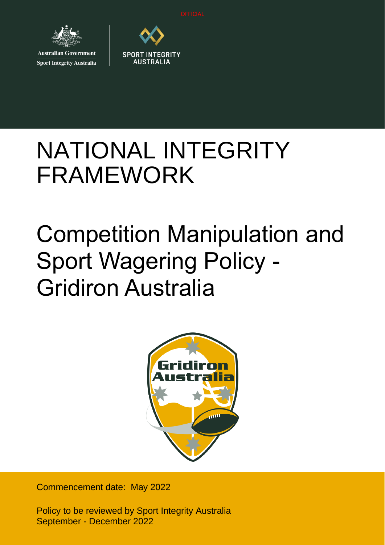

**Australian Government Sport Integrity Australia** 



# NATIONAL INTEGRITY FRAMEWORK

# Competition Manipulation and Sport Wagering Policy - Gridiron Australia



Commencement date: May 2022

Policy to be reviewed by Sport Integrity Australia September - December 2022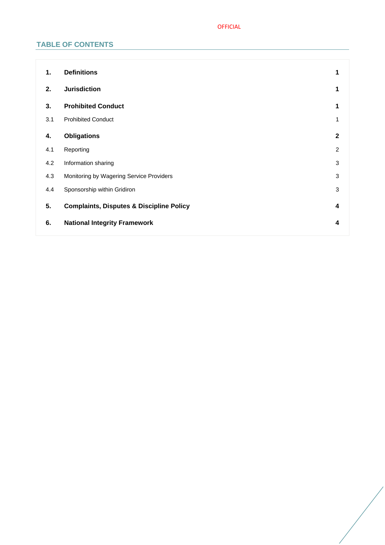# OFFICIAL

# **TABLE OF CONTENTS**

| 1.  | <b>Definitions</b>                                  | 1              |
|-----|-----------------------------------------------------|----------------|
| 2.  | <b>Jurisdiction</b>                                 | 1              |
| 3.  | <b>Prohibited Conduct</b>                           | 1              |
| 3.1 | <b>Prohibited Conduct</b>                           | 1              |
| 4.  | <b>Obligations</b>                                  | $\mathbf{2}$   |
| 4.1 | Reporting                                           | $\overline{2}$ |
| 4.2 | Information sharing                                 | 3              |
| 4.3 | Monitoring by Wagering Service Providers            | 3              |
| 4.4 | Sponsorship within Gridiron                         | $\sqrt{3}$     |
| 5.  | <b>Complaints, Disputes &amp; Discipline Policy</b> | 4              |
| 6.  | <b>National Integrity Framework</b>                 | 4              |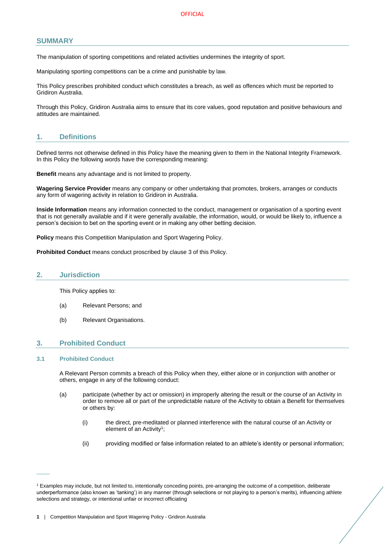# **SUMMARY**

The manipulation of sporting competitions and related activities undermines the integrity of sport.

Manipulating sporting competitions can be a crime and punishable by law.

This Policy prescribes prohibited conduct which constitutes a breach, as well as offences which must be reported to Gridiron Australia.

Through this Policy, Gridiron Australia aims to ensure that its core values, good reputation and positive behaviours and attitudes are maintained.

# <span id="page-2-0"></span>**1. Definitions**

Defined terms not otherwise defined in this Policy have the meaning given to them in the National Integrity Framework. In this Policy the following words have the corresponding meaning:

**Benefit** means any advantage and is not limited to property.

**Wagering Service Provider** means any company or other undertaking that promotes, brokers, arranges or conducts any form of wagering activity in relation to Gridiron in Australia.

**Inside Information** means any information connected to the conduct, management or organisation of a sporting event that is not generally available and if it were generally available, the information, would, or would be likely to, influence a person's decision to bet on the sporting event or in making any other betting decision.

**Policy** means this Competition Manipulation and Sport Wagering Policy.

**Prohibited Conduct** means conduct proscribed by clause [3](#page-2-2) of this Policy.

#### <span id="page-2-1"></span>**2. Jurisdiction**

This Policy applies to:

- (a) Relevant Persons; and
- (b) Relevant Organisations.

# <span id="page-2-2"></span>**3. Prohibited Conduct**

#### <span id="page-2-3"></span>**3.1 Prohibited Conduct**

 $\overline{\phantom{a}}$ 

A Relevant Person commits a breach of this Policy when they, either alone or in conjunction with another or others, engage in any of the following conduct:

- (a) participate (whether by act or omission) in improperly altering the result or the course of an Activity in order to remove all or part of the unpredictable nature of the Activity to obtain a Benefit for themselves or others by:
	- (i) the direct, pre-meditated or planned interference with the natural course of an Activity or element of an Activity<sup>1</sup>;
	- (ii) providing modified or false information related to an athlete's identity or personal information;

<sup>&</sup>lt;sup>1</sup> Examples may include, but not limited to, intentionally conceding points, pre-arranging the outcome of a competition, deliberate underperformance (also known as 'tanking') in any manner (through selections or not playing to a person's merits), influencing athlete selections and strategy, or intentional unfair or incorrect officiating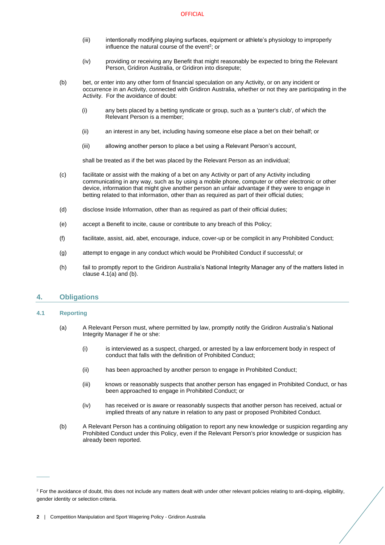- (iii) intentionally modifying playing surfaces, equipment or athlete's physiology to improperly influence the natural course of the event<sup>2</sup>; or
- (iv) providing or receiving any Benefit that might reasonably be expected to bring the Relevant Person, Gridiron Australia, or Gridiron into disrepute;
- (b) bet, or enter into any other form of financial speculation on any Activity, or on any incident or occurrence in an Activity, connected with Gridiron Australia, whether or not they are participating in the Activity. For the avoidance of doubt:
	- (i) any bets placed by a betting syndicate or group, such as a 'punter's club', of which the Relevant Person is a member;
	- (ii) an interest in any bet, including having someone else place a bet on their behalf; or
	- (iii) allowing another person to place a bet using a Relevant Person's account,

shall be treated as if the bet was placed by the Relevant Person as an individual;

- (c) facilitate or assist with the making of a bet on any Activity or part of any Activity including communicating in any way, such as by using a mobile phone, computer or other electronic or other device, information that might give another person an unfair advantage if they were to engage in betting related to that information, other than as required as part of their official duties;
- (d) disclose Inside Information, other than as required as part of their official duties;
- (e) accept a Benefit to incite, cause or contribute to any breach of this Policy;
- (f) facilitate, assist, aid, abet, encourage, induce, cover-up or be complicit in any Prohibited Conduct;
- (g) attempt to engage in any conduct which would be Prohibited Conduct if successful; or
- (h) fail to promptly report to the Gridiron Australia's National Integrity Manager any of the matters listed in claus[e 4.1](#page-3-1)[\(a\)](#page-3-2) and [\(b\).](#page-3-3)

# <span id="page-3-0"></span>**4. Obligations**

#### <span id="page-3-2"></span><span id="page-3-1"></span>**4.1 Reporting**

 $\overline{\phantom{a}}$ 

- (a) A Relevant Person must, where permitted by law, promptly notify the Gridiron Australia's National Integrity Manager if he or she:
	- (i) is interviewed as a suspect, charged, or arrested by a law enforcement body in respect of conduct that falls with the definition of Prohibited Conduct;
	- (ii) has been approached by another person to engage in Prohibited Conduct;
	- (iii) knows or reasonably suspects that another person has engaged in Prohibited Conduct, or has been approached to engage in Prohibited Conduct; or
	- (iv) has received or is aware or reasonably suspects that another person has received, actual or implied threats of any nature in relation to any past or proposed Prohibited Conduct.
- <span id="page-3-3"></span>(b) A Relevant Person has a continuing obligation to report any new knowledge or suspicion regarding any Prohibited Conduct under this Policy, even if the Relevant Person's prior knowledge or suspicion has already been reported.

<sup>&</sup>lt;sup>2</sup> For the avoidance of doubt, this does not include any matters dealt with under other relevant policies relating to anti-doping, eligibility, gender identity or selection criteria.

**<sup>2</sup>** | Competition Manipulation and Sport Wagering Policy - Gridiron Australia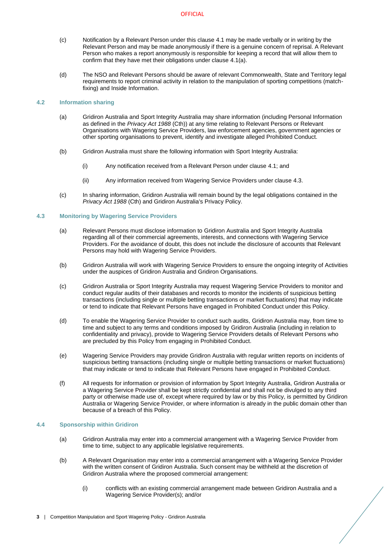- (c) Notification by a Relevant Person under this clause [4.1](#page-3-1) may be made verbally or in writing by the Relevant Person and may be made anonymously if there is a genuine concern of reprisal. A Relevant Person who makes a report anonymously is responsible for keeping a record that will allow them to confirm that they have met their obligations under clause [4.1](#page-3-1)[\(a\).](#page-3-2)
- (d) The NSO and Relevant Persons should be aware of relevant Commonwealth, State and Territory legal requirements to report criminal activity in relation to the manipulation of sporting competitions (matchfixing) and Inside Information.

## <span id="page-4-0"></span>**4.2 Information sharing**

- (a) Gridiron Australia and Sport Integrity Australia may share information (including Personal Information as defined in the *Privacy Act 1988* (Cth)) at any time relating to Relevant Persons or Relevant Organisations with Wagering Service Providers, law enforcement agencies, government agencies or other sporting organisations to prevent, identify and investigate alleged Prohibited Conduct.
- (b) Gridiron Australia must share the following information with Sport Integrity Australia:
	- (i) Any notification received from a Relevant Person under claus[e 4.1;](#page-3-1) and
	- (ii) Any information received from Wagering Service Providers under claus[e 4.3.](#page-4-1)
- (c) In sharing information, Gridiron Australia will remain bound by the legal obligations contained in the *Privacy Act 1988* (Cth) and Gridiron Australia's Privacy Policy.

#### <span id="page-4-1"></span>**4.3 Monitoring by Wagering Service Providers**

- (a) Relevant Persons must disclose information to Gridiron Australia and Sport Integrity Australia regarding all of their commercial agreements, interests, and connections with Wagering Service Providers. For the avoidance of doubt, this does not include the disclosure of accounts that Relevant Persons may hold with Wagering Service Providers.
- (b) Gridiron Australia will work with Wagering Service Providers to ensure the ongoing integrity of Activities under the auspices of Gridiron Australia and Gridiron Organisations.
- (c) Gridiron Australia or Sport Integrity Australia may request Wagering Service Providers to monitor and conduct regular audits of their databases and records to monitor the incidents of suspicious betting transactions (including single or multiple betting transactions or market fluctuations) that may indicate or tend to indicate that Relevant Persons have engaged in Prohibited Conduct under this Policy.
- (d) To enable the Wagering Service Provider to conduct such audits, Gridiron Australia may, from time to time and subject to any terms and conditions imposed by Gridiron Australia (including in relation to confidentiality and privacy), provide to Wagering Service Providers details of Relevant Persons who are precluded by this Policy from engaging in Prohibited Conduct.
- (e) Wagering Service Providers may provide Gridiron Australia with regular written reports on incidents of suspicious betting transactions (including single or multiple betting transactions or market fluctuations) that may indicate or tend to indicate that Relevant Persons have engaged in Prohibited Conduct.
- (f) All requests for information or provision of information by Sport Integrity Australia, Gridiron Australia or a Wagering Service Provider shall be kept strictly confidential and shall not be divulged to any third party or otherwise made use of, except where required by law or by this Policy, is permitted by Gridiron Australia or Wagering Service Provider, or where information is already in the public domain other than because of a breach of this Policy.

#### <span id="page-4-2"></span>**4.4 Sponsorship within Gridiron**

- (a) Gridiron Australia may enter into a commercial arrangement with a Wagering Service Provider from time to time, subject to any applicable legislative requirements.
- <span id="page-4-3"></span>(b) A Relevant Organisation may enter into a commercial arrangement with a Wagering Service Provider with the written consent of Gridiron Australia. Such consent may be withheld at the discretion of Gridiron Australia where the proposed commercial arrangement:
	- (i) conflicts with an existing commercial arrangement made between Gridiron Australia and a Wagering Service Provider(s); and/or